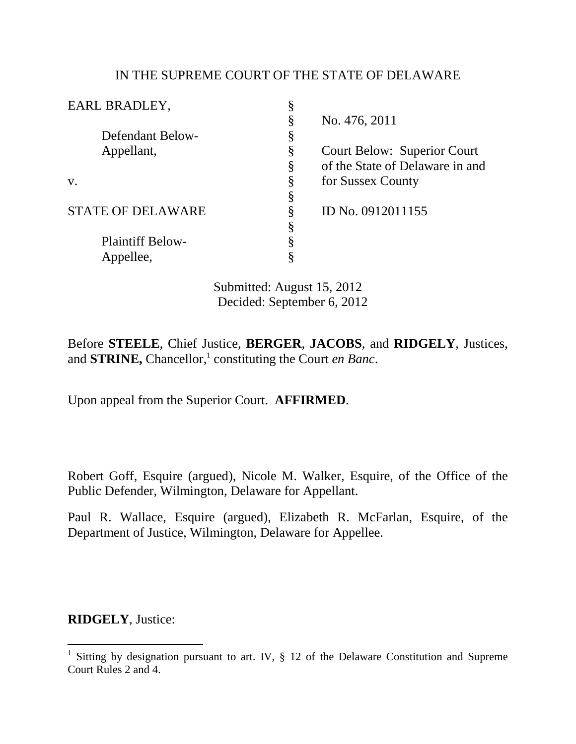## IN THE SUPREME COURT OF THE STATE OF DELAWARE

| EARL BRADLEY,            |   |                                    |
|--------------------------|---|------------------------------------|
|                          | § | No. 476, 2011                      |
| Defendant Below-         | Š |                                    |
| Appellant,               | § | <b>Court Below: Superior Court</b> |
|                          | § | of the State of Delaware in and    |
| V.                       | § | for Sussex County                  |
|                          |   |                                    |
| <b>STATE OF DELAWARE</b> | § | ID No. 0912011155                  |
|                          | § |                                    |
| <b>Plaintiff Below-</b>  |   |                                    |
| Appellee,                |   |                                    |
|                          |   |                                    |

Submitted: August 15, 2012 Decided: September 6, 2012

Before **STEELE**, Chief Justice, **BERGER**, **JACOBS**, and **RIDGELY**, Justices, and **STRINE**, Chancellor,<sup>1</sup> constituting the Court *en Banc*.

Upon appeal from the Superior Court. **AFFIRMED**.

Robert Goff, Esquire (argued), Nicole M. Walker, Esquire, of the Office of the Public Defender, Wilmington, Delaware for Appellant.

Paul R. Wallace, Esquire (argued), Elizabeth R. McFarlan, Esquire, of the Department of Justice, Wilmington, Delaware for Appellee.

**RIDGELY**, Justice:

 $\overline{a}$ 

<sup>1</sup> Sitting by designation pursuant to art. IV, § 12 of the Delaware Constitution and Supreme Court Rules 2 and 4.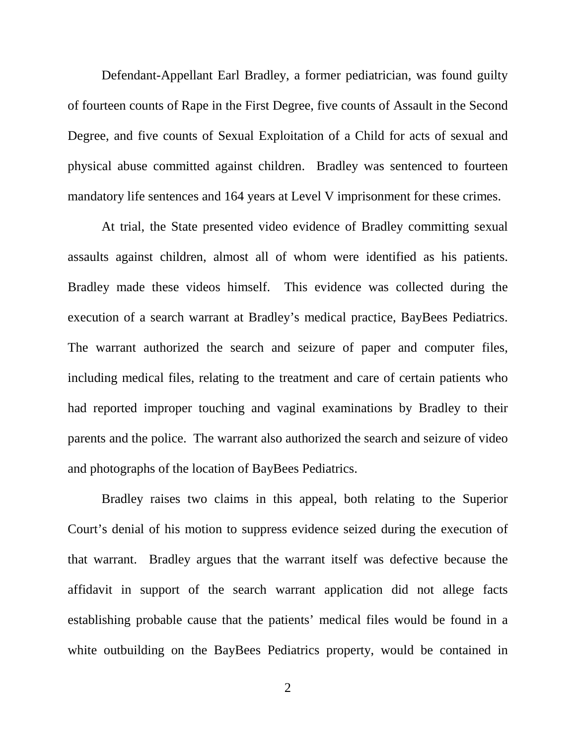Defendant-Appellant Earl Bradley, a former pediatrician, was found guilty of fourteen counts of Rape in the First Degree, five counts of Assault in the Second Degree, and five counts of Sexual Exploitation of a Child for acts of sexual and physical abuse committed against children.Bradley was sentenced to fourteen mandatory life sentences and 164 years at Level V imprisonment for these crimes.

At trial, the State presented video evidence of Bradley committing sexual assaults against children, almost all of whom were identified as his patients. Bradley made these videos himself. This evidence was collected during the execution of a search warrant at Bradley's medical practice, BayBees Pediatrics. The warrant authorized the search and seizure of paper and computer files, including medical files, relating to the treatment and care of certain patients who had reported improper touching and vaginal examinations by Bradley to their parents and the police. The warrant also authorized the search and seizure of video and photographs of the location of BayBees Pediatrics.

Bradley raises two claims in this appeal, both relating to the Superior Court's denial of his motion to suppress evidence seized during the execution of that warrant. Bradley argues that the warrant itself was defective because the affidavit in support of the search warrant application did not allege facts establishing probable cause that the patients' medical files would be found in a white outbuilding on the BayBees Pediatrics property, would be contained in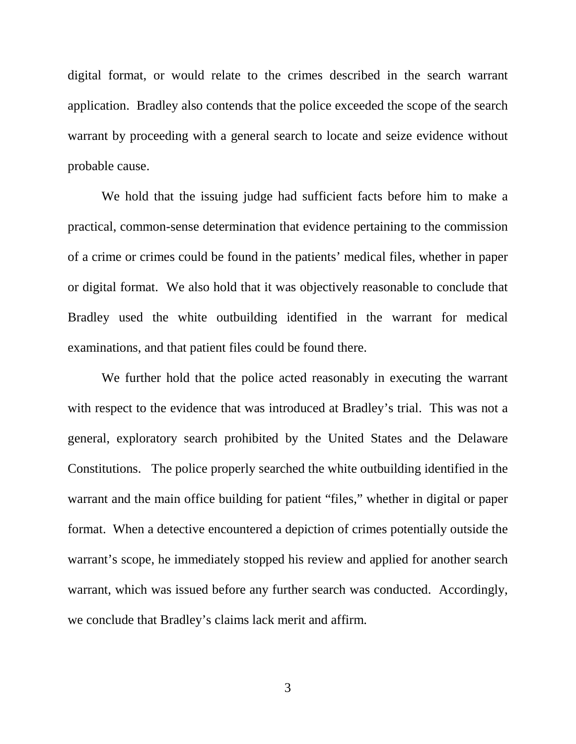digital format, or would relate to the crimes described in the search warrant application. Bradley also contends that the police exceeded the scope of the search warrant by proceeding with a general search to locate and seize evidence without probable cause.

We hold that the issuing judge had sufficient facts before him to make a practical, common-sense determination that evidence pertaining to the commission of a crime or crimes could be found in the patients' medical files, whether in paper or digital format. We also hold that it was objectively reasonable to conclude that Bradley used the white outbuilding identified in the warrant for medical examinations, and that patient files could be found there.

We further hold that the police acted reasonably in executing the warrant with respect to the evidence that was introduced at Bradley's trial. This was not a general, exploratory search prohibited by the United States and the Delaware Constitutions. The police properly searched the white outbuilding identified in the warrant and the main office building for patient "files," whether in digital or paper format. When a detective encountered a depiction of crimes potentially outside the warrant's scope, he immediately stopped his review and applied for another search warrant, which was issued before any further search was conducted. Accordingly, we conclude that Bradley's claims lack merit and affirm.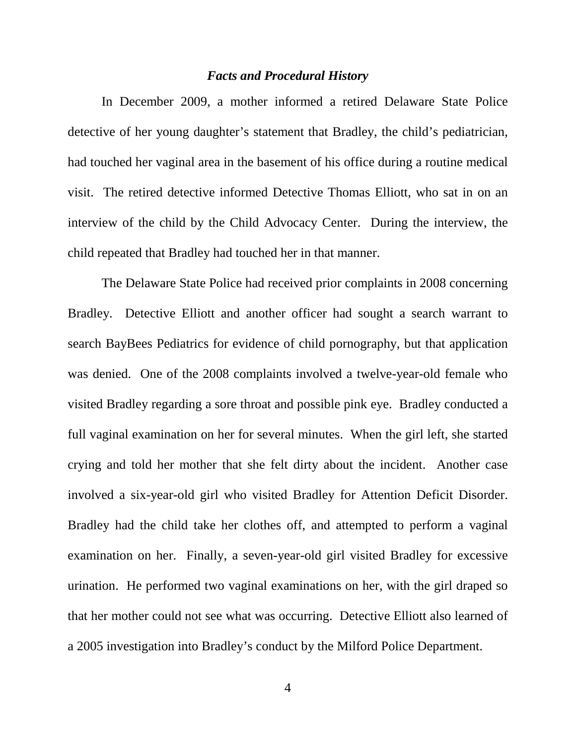#### *Facts and Procedural History*

 In December 2009, a mother informed a retired Delaware State Police detective of her young daughter's statement that Bradley, the child's pediatrician, had touched her vaginal area in the basement of his office during a routine medical visit. The retired detective informed Detective Thomas Elliott, who sat in on an interview of the child by the Child Advocacy Center. During the interview, the child repeated that Bradley had touched her in that manner.

The Delaware State Police had received prior complaints in 2008 concerning Bradley. Detective Elliott and another officer had sought a search warrant to search BayBees Pediatrics for evidence of child pornography, but that application was denied. One of the 2008 complaints involved a twelve-year-old female who visited Bradley regarding a sore throat and possible pink eye. Bradley conducted a full vaginal examination on her for several minutes. When the girl left, she started crying and told her mother that she felt dirty about the incident. Another case involved a six-year-old girl who visited Bradley for Attention Deficit Disorder. Bradley had the child take her clothes off, and attempted to perform a vaginal examination on her. Finally, a seven-year-old girl visited Bradley for excessive urination. He performed two vaginal examinations on her, with the girl draped so that her mother could not see what was occurring. Detective Elliott also learned of a 2005 investigation into Bradley's conduct by the Milford Police Department.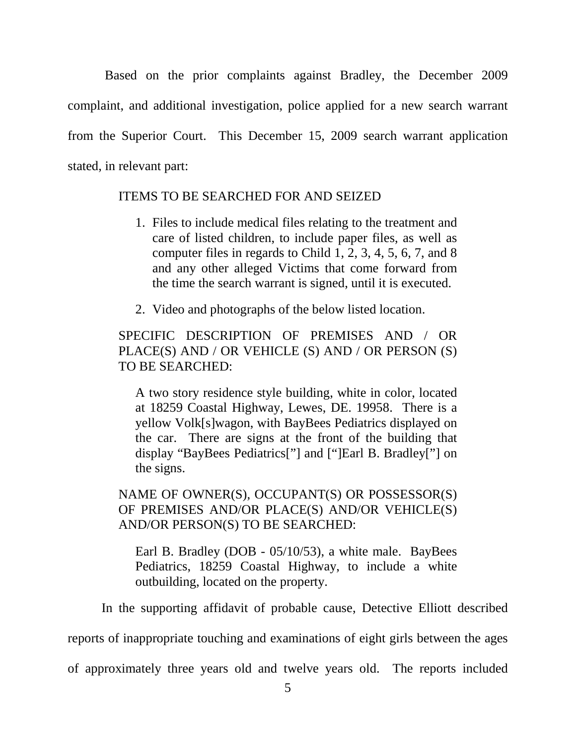Based on the prior complaints against Bradley, the December 2009 complaint, and additional investigation, police applied for a new search warrant from the Superior Court. This December 15, 2009 search warrant application stated, in relevant part:

### ITEMS TO BE SEARCHED FOR AND SEIZED

- 1. Files to include medical files relating to the treatment and care of listed children, to include paper files, as well as computer files in regards to Child 1, 2, 3, 4, 5, 6, 7, and 8 and any other alleged Victims that come forward from the time the search warrant is signed, until it is executed.
- 2. Video and photographs of the below listed location.

SPECIFIC DESCRIPTION OF PREMISES AND / OR PLACE(S) AND / OR VEHICLE (S) AND / OR PERSON (S) TO BE SEARCHED:

A two story residence style building, white in color, located at 18259 Coastal Highway, Lewes, DE. 19958. There is a yellow Volk[s]wagon, with BayBees Pediatrics displayed on the car. There are signs at the front of the building that display "BayBees Pediatrics["] and ["]Earl B. Bradley["] on the signs.

NAME OF OWNER(S), OCCUPANT(S) OR POSSESSOR(S) OF PREMISES AND/OR PLACE(S) AND/OR VEHICLE(S) AND/OR PERSON(S) TO BE SEARCHED:

Earl B. Bradley (DOB - 05/10/53), a white male. BayBees Pediatrics, 18259 Coastal Highway, to include a white outbuilding, located on the property.

In the supporting affidavit of probable cause, Detective Elliott described

reports of inappropriate touching and examinations of eight girls between the ages

of approximately three years old and twelve years old. The reports included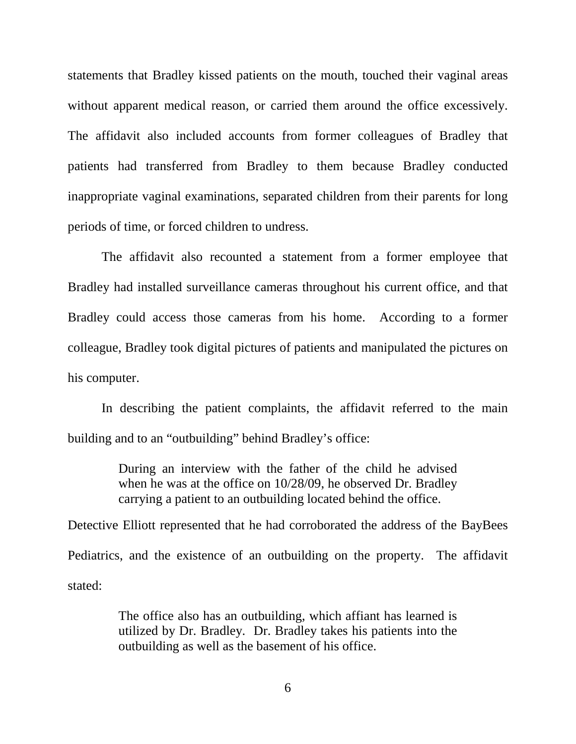statements that Bradley kissed patients on the mouth, touched their vaginal areas without apparent medical reason, or carried them around the office excessively. The affidavit also included accounts from former colleagues of Bradley that patients had transferred from Bradley to them because Bradley conducted inappropriate vaginal examinations, separated children from their parents for long periods of time, or forced children to undress.

The affidavit also recounted a statement from a former employee that Bradley had installed surveillance cameras throughout his current office, and that Bradley could access those cameras from his home. According to a former colleague, Bradley took digital pictures of patients and manipulated the pictures on his computer.

In describing the patient complaints, the affidavit referred to the main building and to an "outbuilding" behind Bradley's office:

> During an interview with the father of the child he advised when he was at the office on 10/28/09, he observed Dr. Bradley carrying a patient to an outbuilding located behind the office.

Detective Elliott represented that he had corroborated the address of the BayBees Pediatrics, and the existence of an outbuilding on the property. The affidavit stated:

> The office also has an outbuilding, which affiant has learned is utilized by Dr. Bradley. Dr. Bradley takes his patients into the outbuilding as well as the basement of his office.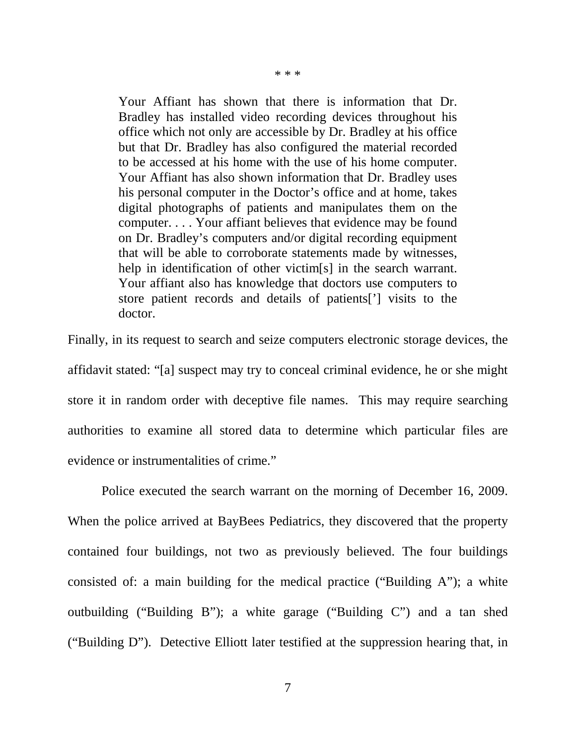\* \* \*

Your Affiant has shown that there is information that Dr. Bradley has installed video recording devices throughout his office which not only are accessible by Dr. Bradley at his office but that Dr. Bradley has also configured the material recorded to be accessed at his home with the use of his home computer. Your Affiant has also shown information that Dr. Bradley uses his personal computer in the Doctor's office and at home, takes digital photographs of patients and manipulates them on the computer. . . . Your affiant believes that evidence may be found on Dr. Bradley's computers and/or digital recording equipment that will be able to corroborate statements made by witnesses, help in identification of other victim[s] in the search warrant. Your affiant also has knowledge that doctors use computers to store patient records and details of patients['] visits to the doctor.

Finally, in its request to search and seize computers electronic storage devices, the affidavit stated: "[a] suspect may try to conceal criminal evidence, he or she might store it in random order with deceptive file names. This may require searching authorities to examine all stored data to determine which particular files are evidence or instrumentalities of crime."

 Police executed the search warrant on the morning of December 16, 2009. When the police arrived at BayBees Pediatrics, they discovered that the property contained four buildings, not two as previously believed. The four buildings consisted of: a main building for the medical practice ("Building A"); a white outbuilding ("Building B"); a white garage ("Building C") and a tan shed ("Building D"). Detective Elliott later testified at the suppression hearing that, in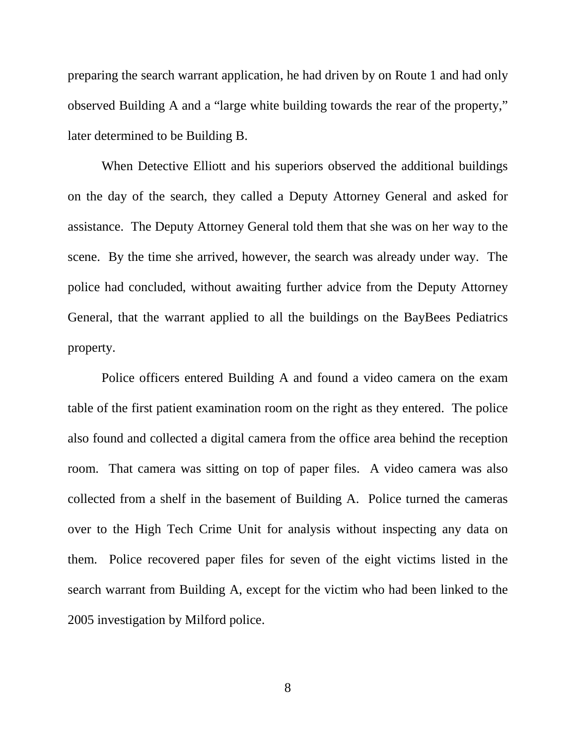preparing the search warrant application, he had driven by on Route 1 and had only observed Building A and a "large white building towards the rear of the property," later determined to be Building B.

 When Detective Elliott and his superiors observed the additional buildings on the day of the search, they called a Deputy Attorney General and asked for assistance. The Deputy Attorney General told them that she was on her way to the scene. By the time she arrived, however, the search was already under way. The police had concluded, without awaiting further advice from the Deputy Attorney General, that the warrant applied to all the buildings on the BayBees Pediatrics property.

Police officers entered Building A and found a video camera on the exam table of the first patient examination room on the right as they entered. The police also found and collected a digital camera from the office area behind the reception room. That camera was sitting on top of paper files. A video camera was also collected from a shelf in the basement of Building A. Police turned the cameras over to the High Tech Crime Unit for analysis without inspecting any data on them. Police recovered paper files for seven of the eight victims listed in the search warrant from Building A, except for the victim who had been linked to the 2005 investigation by Milford police.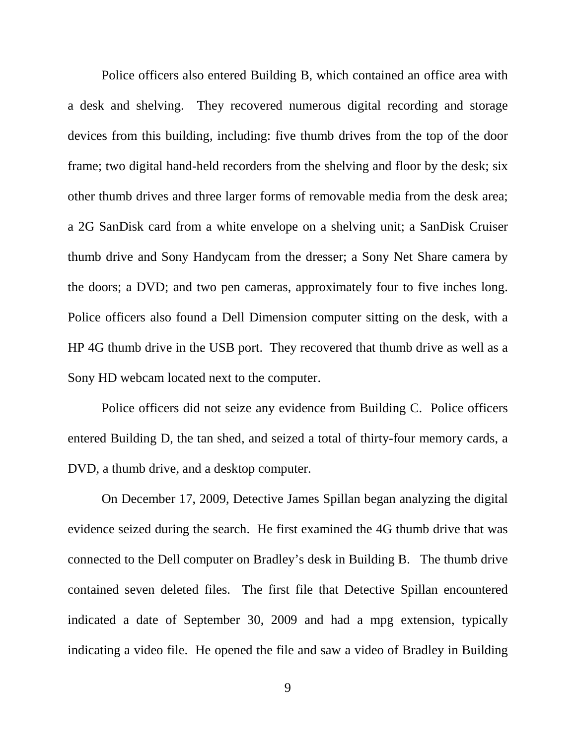Police officers also entered Building B, which contained an office area with a desk and shelving. They recovered numerous digital recording and storage devices from this building, including: five thumb drives from the top of the door frame; two digital hand-held recorders from the shelving and floor by the desk; six other thumb drives and three larger forms of removable media from the desk area; a 2G SanDisk card from a white envelope on a shelving unit; a SanDisk Cruiser thumb drive and Sony Handycam from the dresser; a Sony Net Share camera by the doors; a DVD; and two pen cameras, approximately four to five inches long. Police officers also found a Dell Dimension computer sitting on the desk, with a HP 4G thumb drive in the USB port. They recovered that thumb drive as well as a Sony HD webcam located next to the computer.

Police officers did not seize any evidence from Building C. Police officers entered Building D, the tan shed, and seized a total of thirty-four memory cards, a DVD, a thumb drive, and a desktop computer.

On December 17, 2009, Detective James Spillan began analyzing the digital evidence seized during the search. He first examined the 4G thumb drive that was connected to the Dell computer on Bradley's desk in Building B. The thumb drive contained seven deleted files. The first file that Detective Spillan encountered indicated a date of September 30, 2009 and had a mpg extension, typically indicating a video file. He opened the file and saw a video of Bradley in Building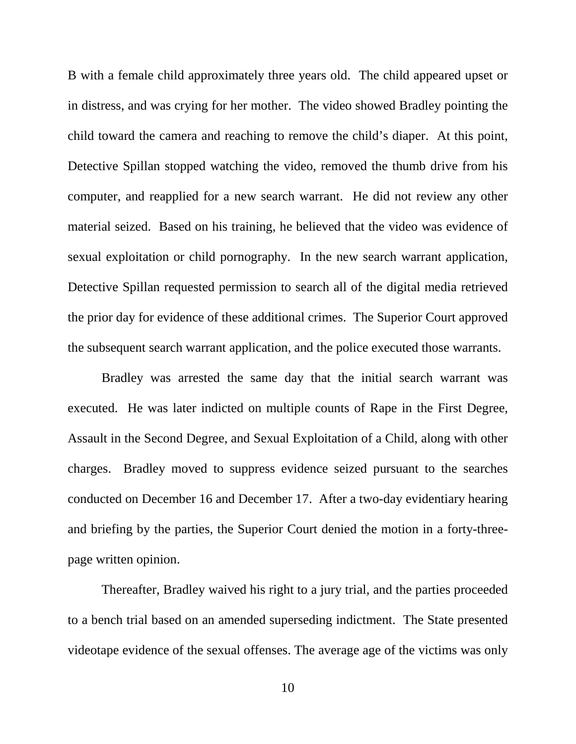B with a female child approximately three years old. The child appeared upset or in distress, and was crying for her mother. The video showed Bradley pointing the child toward the camera and reaching to remove the child's diaper. At this point, Detective Spillan stopped watching the video, removed the thumb drive from his computer, and reapplied for a new search warrant. He did not review any other material seized. Based on his training, he believed that the video was evidence of sexual exploitation or child pornography. In the new search warrant application, Detective Spillan requested permission to search all of the digital media retrieved the prior day for evidence of these additional crimes. The Superior Court approved the subsequent search warrant application, and the police executed those warrants.

Bradley was arrested the same day that the initial search warrant was executed. He was later indicted on multiple counts of Rape in the First Degree, Assault in the Second Degree, and Sexual Exploitation of a Child, along with other charges. Bradley moved to suppress evidence seized pursuant to the searches conducted on December 16 and December 17. After a two-day evidentiary hearing and briefing by the parties, the Superior Court denied the motion in a forty-threepage written opinion.

Thereafter, Bradley waived his right to a jury trial, and the parties proceeded to a bench trial based on an amended superseding indictment.The State presented videotape evidence of the sexual offenses. The average age of the victims was only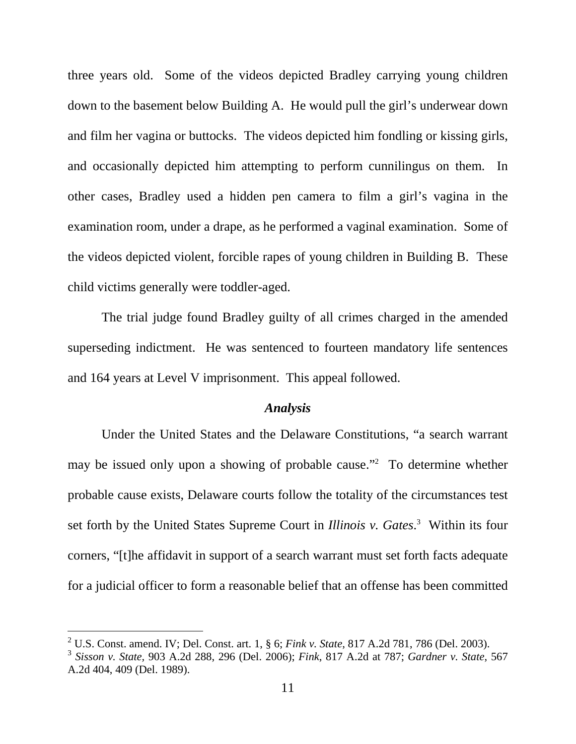three years old. Some of the videos depicted Bradley carrying young children down to the basement below Building A. He would pull the girl's underwear down and film her vagina or buttocks. The videos depicted him fondling or kissing girls, and occasionally depicted him attempting to perform cunnilingus on them. In other cases, Bradley used a hidden pen camera to film a girl's vagina in the examination room, under a drape, as he performed a vaginal examination.Some of the videos depicted violent, forcible rapes of young children in Building B. These child victims generally were toddler-aged.

The trial judge found Bradley guilty of all crimes charged in the amended superseding indictment. He was sentenced to fourteen mandatory life sentences and 164 years at Level V imprisonment. This appeal followed.

### *Analysis*

Under the United States and the Delaware Constitutions, "a search warrant may be issued only upon a showing of probable cause."<sup>2</sup> To determine whether probable cause exists, Delaware courts follow the totality of the circumstances test set forth by the United States Supreme Court in *Illinois v. Gates*. 3 Within its four corners, "[t]he affidavit in support of a search warrant must set forth facts adequate for a judicial officer to form a reasonable belief that an offense has been committed

-

<sup>2</sup> U.S. Const. amend. IV; Del. Const. art. 1, § 6; *Fink v. State*, 817 A.2d 781, 786 (Del. 2003).

<sup>3</sup> *Sisson v. State,* 903 A.2d 288, 296 (Del. 2006); *Fink*, 817 A.2d at 787; *Gardner v. State*, 567 A.2d 404, 409 (Del. 1989).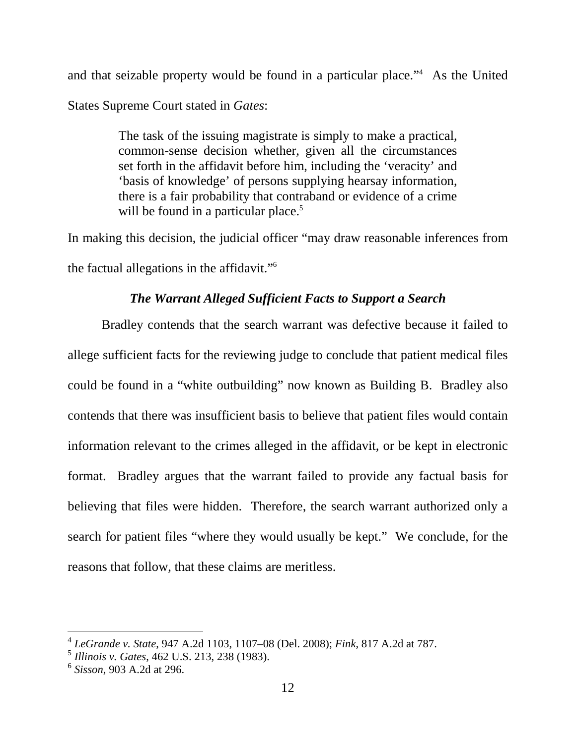and that seizable property would be found in a particular place."<sup>4</sup> As the United States Supreme Court stated in *Gates*:

> The task of the issuing magistrate is simply to make a practical, common-sense decision whether, given all the circumstances set forth in the affidavit before him, including the 'veracity' and 'basis of knowledge' of persons supplying hearsay information, there is a fair probability that contraband or evidence of a crime will be found in a particular place.<sup>5</sup>

In making this decision, the judicial officer "may draw reasonable inferences from the factual allegations in the affidavit."<sup>6</sup>

# *The Warrant Alleged Sufficient Facts to Support a Search*

 Bradley contends that the search warrant was defective because it failed to allege sufficient facts for the reviewing judge to conclude that patient medical files could be found in a "white outbuilding" now known as Building B. Bradley also contends that there was insufficient basis to believe that patient files would contain information relevant to the crimes alleged in the affidavit, or be kept in electronic format. Bradley argues that the warrant failed to provide any factual basis for believing that files were hidden. Therefore, the search warrant authorized only a search for patient files "where they would usually be kept." We conclude, for the reasons that follow, that these claims are meritless.

 4 *LeGrande v. State*, 947 A.2d 1103, 1107–08 (Del. 2008); *Fink*, 817 A.2d at 787.

<sup>5</sup> *Illinois v. Gates*, 462 U.S. 213, 238 (1983).

<sup>6</sup> *Sisson*, 903 A.2d at 296.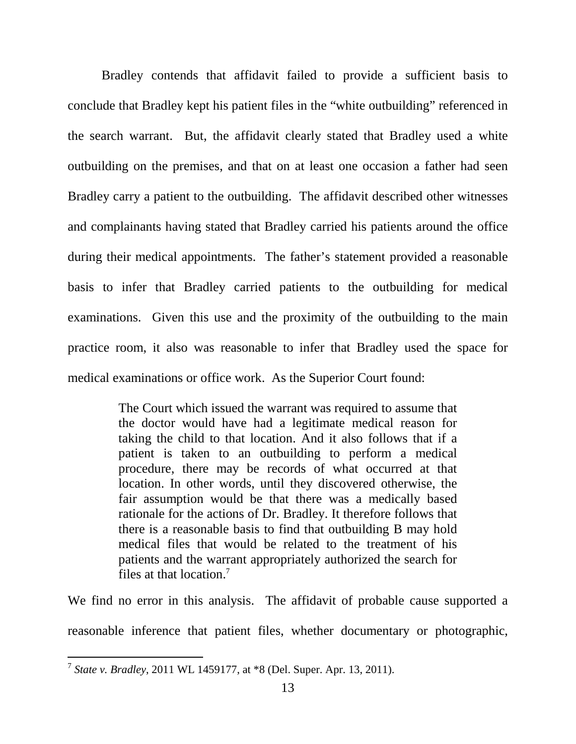Bradley contends that affidavit failed to provide a sufficient basis to conclude that Bradley kept his patient files in the "white outbuilding" referenced in the search warrant. But, the affidavit clearly stated that Bradley used a white outbuilding on the premises, and that on at least one occasion a father had seen Bradley carry a patient to the outbuilding. The affidavit described other witnesses and complainants having stated that Bradley carried his patients around the office during their medical appointments. The father's statement provided a reasonable basis to infer that Bradley carried patients to the outbuilding for medical examinations. Given this use and the proximity of the outbuilding to the main practice room, it also was reasonable to infer that Bradley used the space for medical examinations or office work. As the Superior Court found:

> The Court which issued the warrant was required to assume that the doctor would have had a legitimate medical reason for taking the child to that location. And it also follows that if a patient is taken to an outbuilding to perform a medical procedure, there may be records of what occurred at that location. In other words, until they discovered otherwise, the fair assumption would be that there was a medically based rationale for the actions of Dr. Bradley. It therefore follows that there is a reasonable basis to find that outbuilding B may hold medical files that would be related to the treatment of his patients and the warrant appropriately authorized the search for files at that location.<sup>7</sup>

We find no error in this analysis. The affidavit of probable cause supported a reasonable inference that patient files, whether documentary or photographic,

 7 *State v. Bradley*, 2011 WL 1459177, at \*8 (Del. Super. Apr. 13, 2011).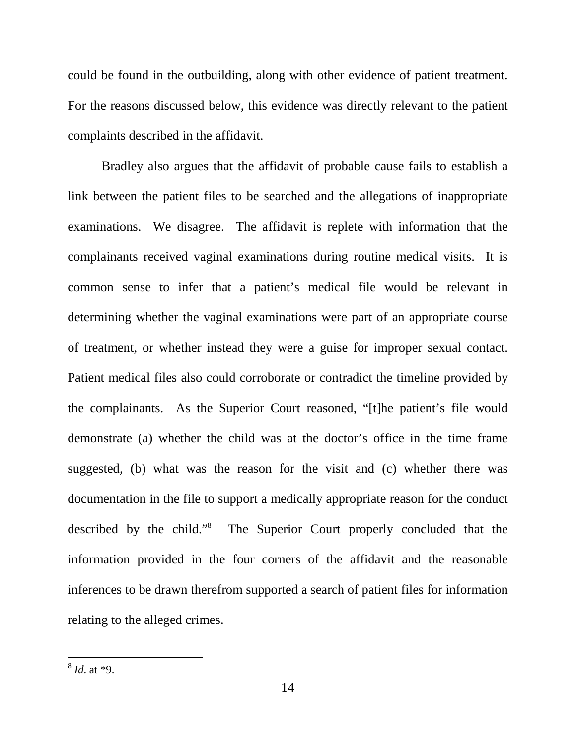could be found in the outbuilding, along with other evidence of patient treatment. For the reasons discussed below, this evidence was directly relevant to the patient complaints described in the affidavit.

Bradley also argues that the affidavit of probable cause fails to establish a link between the patient files to be searched and the allegations of inappropriate examinations. We disagree. The affidavit is replete with information that the complainants received vaginal examinations during routine medical visits. It is common sense to infer that a patient's medical file would be relevant in determining whether the vaginal examinations were part of an appropriate course of treatment, or whether instead they were a guise for improper sexual contact. Patient medical files also could corroborate or contradict the timeline provided by the complainants. As the Superior Court reasoned, "[t]he patient's file would demonstrate (a) whether the child was at the doctor's office in the time frame suggested, (b) what was the reason for the visit and (c) whether there was documentation in the file to support a medically appropriate reason for the conduct described by the child."<sup>8</sup> The Superior Court properly concluded that the information provided in the four corners of the affidavit and the reasonable inferences to be drawn therefrom supported a search of patient files for information relating to the alleged crimes.

 $\frac{8}{6}$ *Id.* at \*9.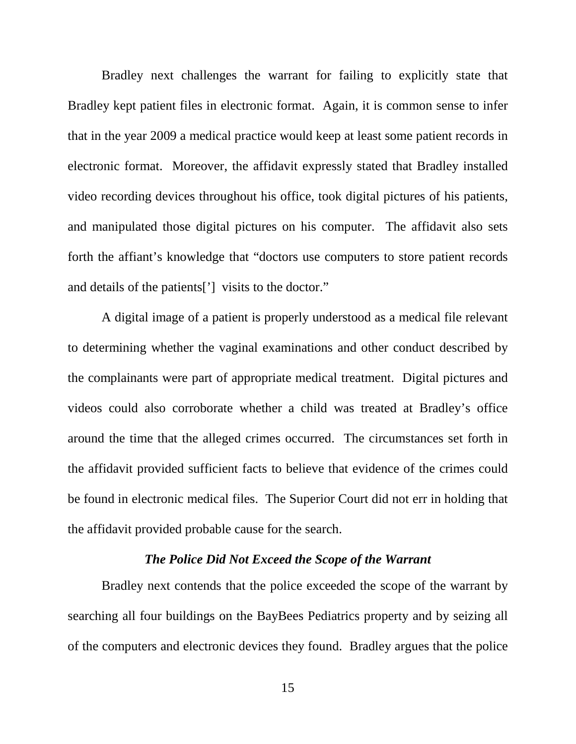Bradley next challenges the warrant for failing to explicitly state that Bradley kept patient files in electronic format. Again, it is common sense to infer that in the year 2009 a medical practice would keep at least some patient records in electronic format. Moreover, the affidavit expressly stated that Bradley installed video recording devices throughout his office, took digital pictures of his patients, and manipulated those digital pictures on his computer. The affidavit also sets forth the affiant's knowledge that "doctors use computers to store patient records and details of the patients['] visits to the doctor."

A digital image of a patient is properly understood as a medical file relevant to determining whether the vaginal examinations and other conduct described by the complainants were part of appropriate medical treatment.Digital pictures and videos could also corroborate whether a child was treated at Bradley's office around the time that the alleged crimes occurred.The circumstances set forth in the affidavit provided sufficient facts to believe that evidence of the crimes could be found in electronic medical files. The Superior Court did not err in holding that the affidavit provided probable cause for the search.

### *The Police Did Not Exceed the Scope of the Warrant*

Bradley next contends that the police exceeded the scope of the warrant by searching all four buildings on the BayBees Pediatrics property and by seizing all of the computers and electronic devices they found. Bradley argues that the police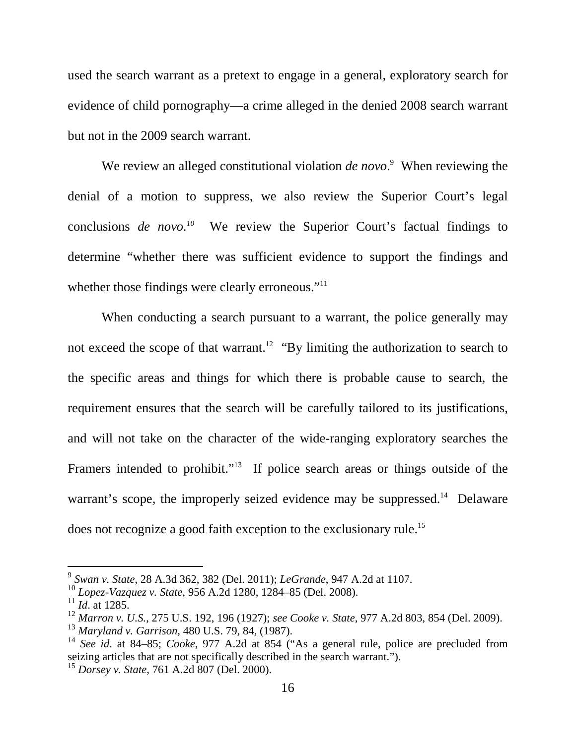used the search warrant as a pretext to engage in a general, exploratory search for evidence of child pornography—a crime alleged in the denied 2008 search warrant but not in the 2009 search warrant.

We review an alleged constitutional violation *de novo*.<sup>9</sup> When reviewing the denial of a motion to suppress, we also review the Superior Court's legal conclusions *de novo.*<sup>10</sup> We review the Superior Court's factual findings to determine "whether there was sufficient evidence to support the findings and whether those findings were clearly erroneous."<sup>11</sup>

When conducting a search pursuant to a warrant, the police generally may not exceed the scope of that warrant.<sup>12</sup> "By limiting the authorization to search to the specific areas and things for which there is probable cause to search, the requirement ensures that the search will be carefully tailored to its justifications, and will not take on the character of the wide-ranging exploratory searches the Framers intended to prohibit."<sup>13</sup> If police search areas or things outside of the warrant's scope, the improperly seized evidence may be suppressed.<sup>14</sup> Delaware does not recognize a good faith exception to the exclusionary rule.<sup>15</sup>

 9 *Swan v. State*, 28 A.3d 362, 382 (Del. 2011); *LeGrande*, 947 A.2d at 1107.

<sup>10</sup> *Lopez-Vazquez v. State*, 956 A.2d 1280, 1284–85 (Del. 2008).

 $11$  *Id.* at 1285.

<sup>12</sup> *Marron v. U.S.*, 275 U.S. 192, 196 (1927); *see Cooke v. State*, 977 A.2d 803, 854 (Del. 2009).

<sup>13</sup> *Maryland v. Garrison*, 480 U.S. 79, 84, (1987).

<sup>14</sup> *See id*. at 84–85; *Cooke*, 977 A.2d at 854 ("As a general rule, police are precluded from seizing articles that are not specifically described in the search warrant.").

<sup>15</sup> *Dorsey v. State*, 761 A.2d 807 (Del. 2000).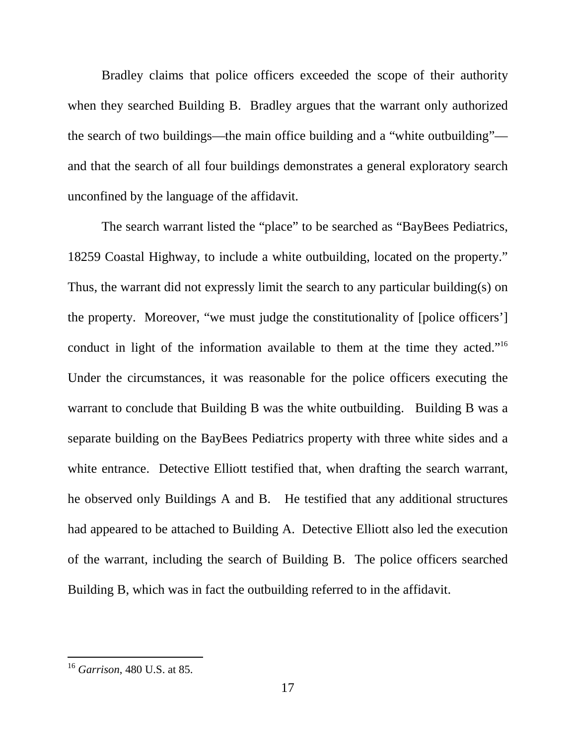Bradley claims that police officers exceeded the scope of their authority when they searched Building B. Bradley argues that the warrant only authorized the search of two buildings—the main office building and a "white outbuilding" and that the search of all four buildings demonstrates a general exploratory search unconfined by the language of the affidavit.

The search warrant listed the "place" to be searched as "BayBees Pediatrics, 18259 Coastal Highway, to include a white outbuilding, located on the property." Thus, the warrant did not expressly limit the search to any particular building(s) on the property. Moreover, "we must judge the constitutionality of [police officers'] conduct in light of the information available to them at the time they acted."<sup>16</sup> Under the circumstances, it was reasonable for the police officers executing the warrant to conclude that Building B was the white outbuilding. Building B was a separate building on the BayBees Pediatrics property with three white sides and a white entrance. Detective Elliott testified that, when drafting the search warrant, he observed only Buildings A and B. He testified that any additional structures had appeared to be attached to Building A. Detective Elliott also led the execution of the warrant, including the search of Building B. The police officers searched Building B, which was in fact the outbuilding referred to in the affidavit.

-

<sup>16</sup> *Garrison*, 480 U.S. at 85.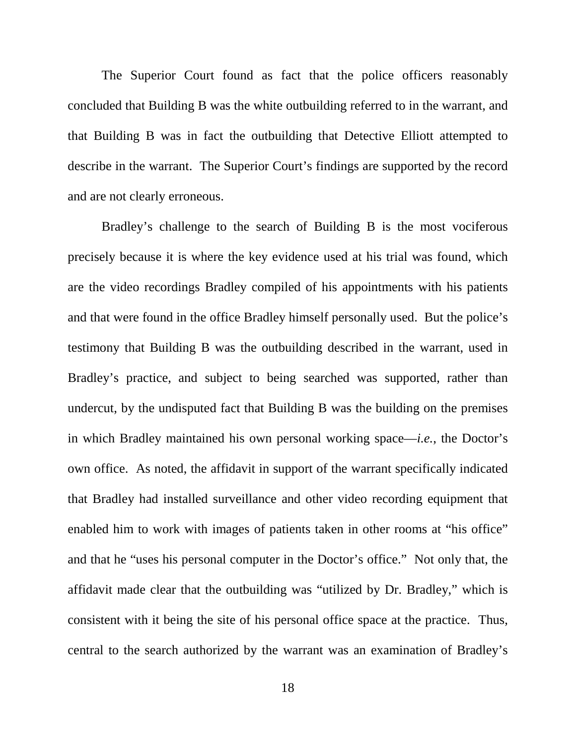The Superior Court found as fact that the police officers reasonably concluded that Building B was the white outbuilding referred to in the warrant, and that Building B was in fact the outbuilding that Detective Elliott attempted to describe in the warrant. The Superior Court's findings are supported by the record and are not clearly erroneous.

Bradley's challenge to the search of Building B is the most vociferous precisely because it is where the key evidence used at his trial was found, which are the video recordings Bradley compiled of his appointments with his patients and that were found in the office Bradley himself personally used. But the police's testimony that Building B was the outbuilding described in the warrant, used in Bradley's practice, and subject to being searched was supported, rather than undercut, by the undisputed fact that Building B was the building on the premises in which Bradley maintained his own personal working space—*i.e.*, the Doctor's own office. As noted, the affidavit in support of the warrant specifically indicated that Bradley had installed surveillance and other video recording equipment that enabled him to work with images of patients taken in other rooms at "his office" and that he "uses his personal computer in the Doctor's office." Not only that, the affidavit made clear that the outbuilding was "utilized by Dr. Bradley," which is consistent with it being the site of his personal office space at the practice. Thus, central to the search authorized by the warrant was an examination of Bradley's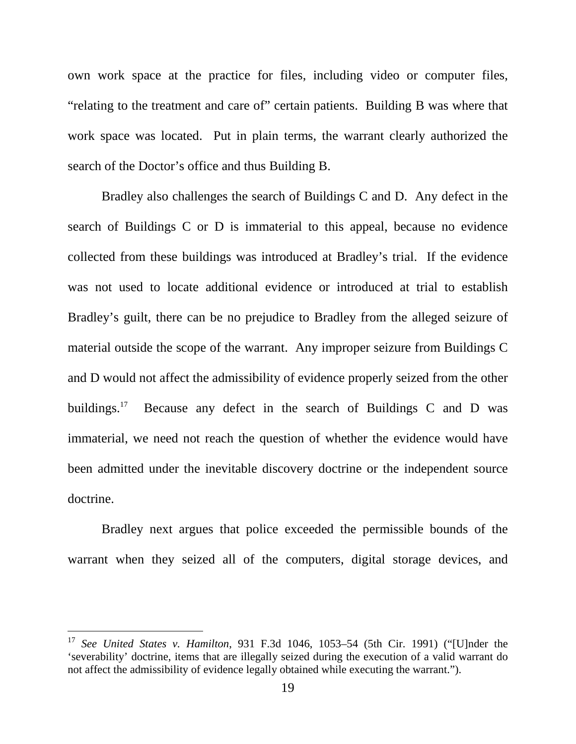own work space at the practice for files, including video or computer files, "relating to the treatment and care of" certain patients. Building B was where that work space was located. Put in plain terms, the warrant clearly authorized the search of the Doctor's office and thus Building B.

Bradley also challenges the search of Buildings C and D. Any defect in the search of Buildings C or D is immaterial to this appeal, because no evidence collected from these buildings was introduced at Bradley's trial. If the evidence was not used to locate additional evidence or introduced at trial to establish Bradley's guilt, there can be no prejudice to Bradley from the alleged seizure of material outside the scope of the warrant. Any improper seizure from Buildings C and D would not affect the admissibility of evidence properly seized from the other buildings. $17$ Because any defect in the search of Buildings C and D was immaterial, we need not reach the question of whether the evidence would have been admitted under the inevitable discovery doctrine or the independent source doctrine.

Bradley next argues that police exceeded the permissible bounds of the warrant when they seized all of the computers, digital storage devices, and

 $\overline{a}$ 

<sup>17</sup> *See United States v. Hamilton*, 931 F.3d 1046, 1053–54 (5th Cir. 1991) ("[U]nder the 'severability' doctrine, items that are illegally seized during the execution of a valid warrant do not affect the admissibility of evidence legally obtained while executing the warrant.").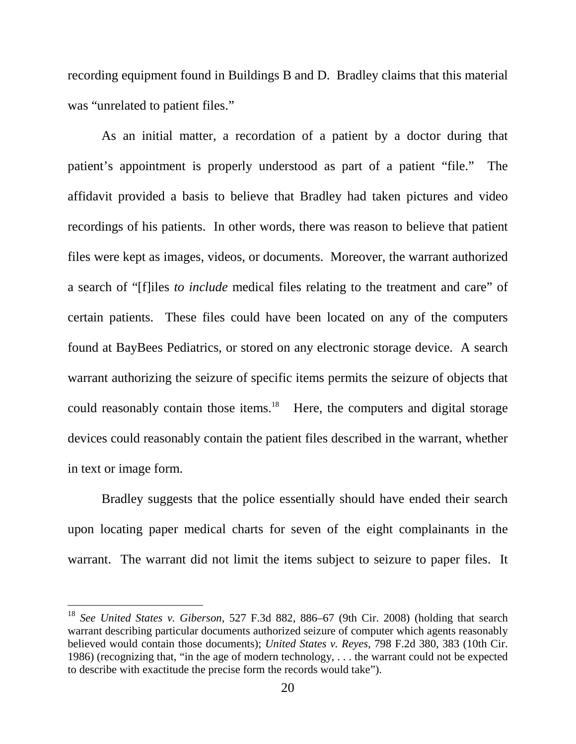recording equipment found in Buildings B and D. Bradley claims that this material was "unrelated to patient files."

As an initial matter, a recordation of a patient by a doctor during that patient's appointment is properly understood as part of a patient "file." The affidavit provided a basis to believe that Bradley had taken pictures and video recordings of his patients. In other words, there was reason to believe that patient files were kept as images, videos, or documents. Moreover, the warrant authorized a search of "[f]iles *to include* medical files relating to the treatment and care" of certain patients. These files could have been located on any of the computers found at BayBees Pediatrics, or stored on any electronic storage device. A search warrant authorizing the seizure of specific items permits the seizure of objects that could reasonably contain those items. $18$  Here, the computers and digital storage devices could reasonably contain the patient files described in the warrant, whether in text or image form.

Bradley suggests that the police essentially should have ended their search upon locating paper medical charts for seven of the eight complainants in the warrant. The warrant did not limit the items subject to seizure to paper files. It

 $\overline{a}$ 

<sup>18</sup> *See United States v. Giberson*, 527 F.3d 882, 886–67 (9th Cir. 2008) (holding that search warrant describing particular documents authorized seizure of computer which agents reasonably believed would contain those documents); *United States v. Reyes*, 798 F.2d 380, 383 (10th Cir. 1986) (recognizing that, "in the age of modern technology, . . . the warrant could not be expected to describe with exactitude the precise form the records would take").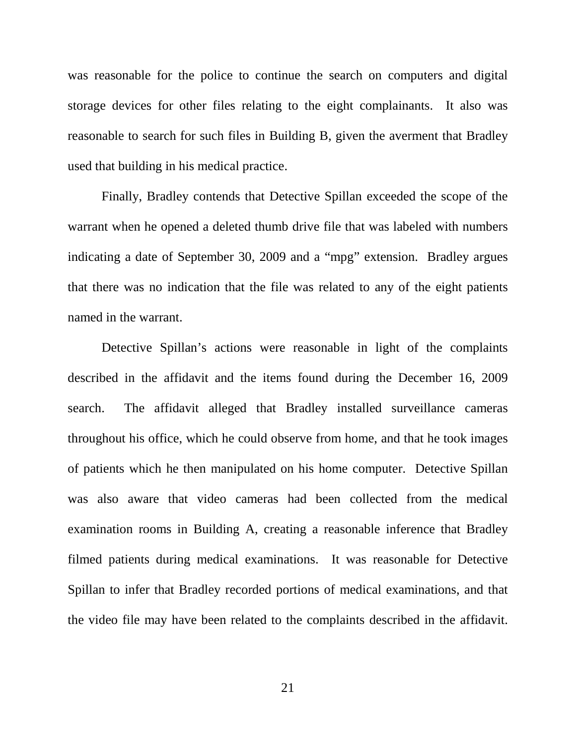was reasonable for the police to continue the search on computers and digital storage devices for other files relating to the eight complainants. It also was reasonable to search for such files in Building B, given the averment that Bradley used that building in his medical practice.

 Finally, Bradley contends that Detective Spillan exceeded the scope of the warrant when he opened a deleted thumb drive file that was labeled with numbers indicating a date of September 30, 2009 and a "mpg" extension. Bradley argues that there was no indication that the file was related to any of the eight patients named in the warrant.

 Detective Spillan's actions were reasonable in light of the complaints described in the affidavit and the items found during the December 16, 2009 search. The affidavit alleged that Bradley installed surveillance cameras throughout his office, which he could observe from home, and that he took images of patients which he then manipulated on his home computer. Detective Spillan was also aware that video cameras had been collected from the medical examination rooms in Building A, creating a reasonable inference that Bradley filmed patients during medical examinations. It was reasonable for Detective Spillan to infer that Bradley recorded portions of medical examinations, and that the video file may have been related to the complaints described in the affidavit.